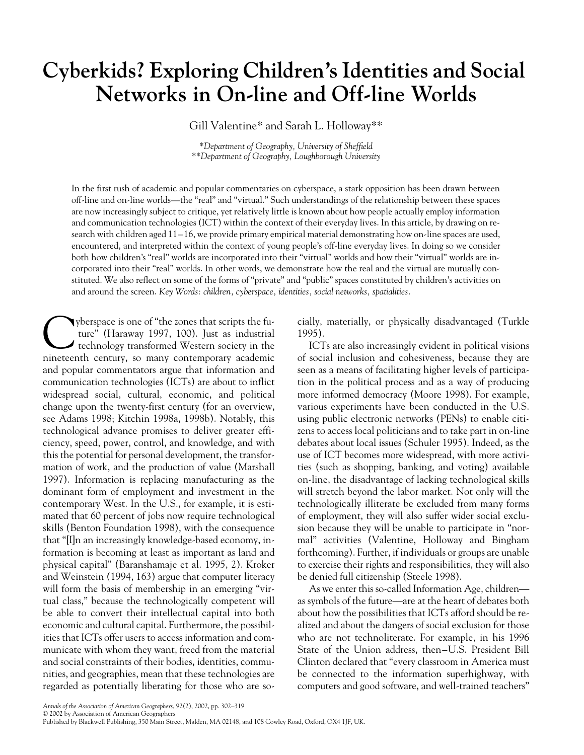# **Cyberkids? Exploring Children's Identities and Social Networks in On-line and Off-line Worlds**

Gill Valentine\* and Sarah L. Holloway\*\*

*\*Department of Geography, University of Sheffield \*\*Department of Geography, Loughborough University*

In the first rush of academic and popular commentaries on cyberspace, a stark opposition has been drawn between off-line and on-line worlds—the "real" and "virtual." Such understandings of the relationship between these spaces are now increasingly subject to critique, yet relatively little is known about how people actually employ information and communication technologies (ICT) within the context of their everyday lives. In this article, by drawing on research with children aged 11–16, we provide primary empirical material demonstrating how on-line spaces are used, encountered, and interpreted within the context of young people's off-line everyday lives. In doing so we consider both how children's "real" worlds are incorporated into their "virtual" worlds and how their "virtual" worlds are incorporated into their "real" worlds. In other words, we demonstrate how the real and the virtual are mutually constituted. We also reflect on some of the forms of "private" and "public" spaces constituted by children's activities on and around the screen. *Key Words: children, cyberspace, identities, social networks, spatialities.*

yberspace is one of "the zones that scripts the future" (Haraway 1997, 100). Just as industrial technology transformed Western society in the Weenspace is one of "the zones that scripts the fu-<br>ture" (Haraway 1997, 100). Just as industrial<br>technology transformed Western society in the<br>nineteenth century, so many contemporary academic and popular commentators argue that information and communication technologies (ICTs) are about to inflict widespread social, cultural, economic, and political change upon the twenty-first century (for an overview, see Adams 1998; Kitchin 1998a, 1998b). Notably, this technological advance promises to deliver greater efficiency, speed, power, control, and knowledge, and with this the potential for personal development, the transformation of work, and the production of value (Marshall 1997). Information is replacing manufacturing as the dominant form of employment and investment in the contemporary West. In the U.S., for example, it is estimated that 60 percent of jobs now require technological skills (Benton Foundation 1998), with the consequence that "[I]n an increasingly knowledge-based economy, information is becoming at least as important as land and physical capital" (Baranshamaje et al. 1995, 2). Kroker and Weinstein (1994, 163) argue that computer literacy will form the basis of membership in an emerging "virtual class," because the technologically competent will be able to convert their intellectual capital into both economic and cultural capital. Furthermore, the possibilities that ICTs offer users to access information and communicate with whom they want, freed from the material and social constraints of their bodies, identities, communities, and geographies, mean that these technologies are regarded as potentially liberating for those who are so-

cially, materially, or physically disadvantaged (Turkle 1995).

ICTs are also increasingly evident in political visions of social inclusion and cohesiveness, because they are seen as a means of facilitating higher levels of participation in the political process and as a way of producing more informed democracy (Moore 1998). For example, various experiments have been conducted in the U.S. using public electronic networks (PENs) to enable citizens to access local politicians and to take part in on-line debates about local issues (Schuler 1995). Indeed, as the use of ICT becomes more widespread, with more activities (such as shopping, banking, and voting) available on-line, the disadvantage of lacking technological skills will stretch beyond the labor market. Not only will the technologically illiterate be excluded from many forms of employment, they will also suffer wider social exclusion because they will be unable to participate in "normal" activities (Valentine, Holloway and Bingham forthcoming). Further, if individuals or groups are unable to exercise their rights and responsibilities, they will also be denied full citizenship (Steele 1998).

As we enter this so-called Information Age, children as symbols of the future—are at the heart of debates both about how the possibilities that ICTs afford should be realized and about the dangers of social exclusion for those who are not technoliterate. For example, in his 1996 State of the Union address, then–U.S. President Bill Clinton declared that "every classroom in America must be connected to the information superhighway, with computers and good software, and well-trained teachers"

*Annals of the Association of American Geographers*, 92(2), 2002, pp. 302–319 © 2002 by Association of American Geographers

Published by Blackwell Publishing, 350 Main Street, Malden, MA 02148, and 108 Cowley Road, Oxford, OX4 1JF, UK.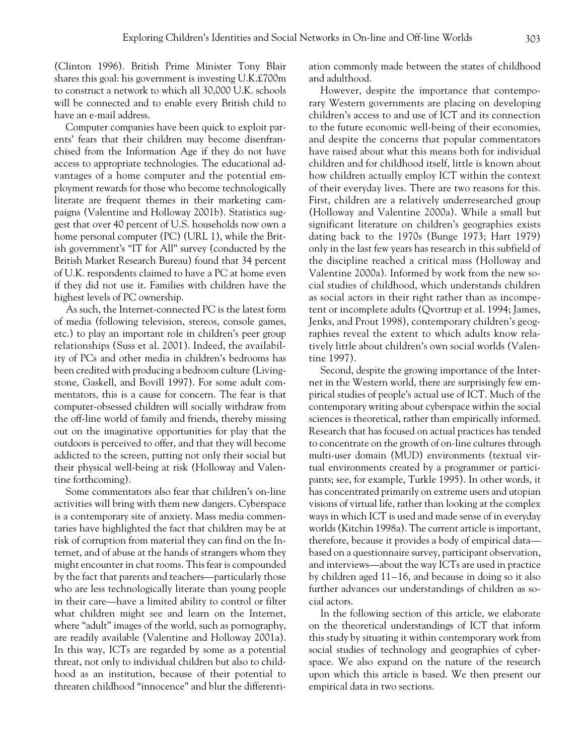(Clinton 1996). British Prime Minister Tony Blair shares this goal: his government is investing U.K.£700m to construct a network to which all 30,000 U.K. schools will be connected and to enable every British child to have an e-mail address.

Computer companies have been quick to exploit parents' fears that their children may become disenfranchised from the Information Age if they do not have access to appropriate technologies. The educational advantages of a home computer and the potential employment rewards for those who become technologically literate are frequent themes in their marketing campaigns (Valentine and Holloway 2001b). Statistics suggest that over 40 percent of U.S. households now own a home personal computer (PC) (URL 1), while the British government's "IT for All" survey (conducted by the British Market Research Bureau) found that 34 percent of U.K. respondents claimed to have a PC at home even if they did not use it. Families with children have the highest levels of PC ownership.

As such, the Internet-connected PC is the latest form of media (following television, stereos, console games, etc.) to play an important role in children's peer group relationships (Suss et al. 2001). Indeed, the availability of PCs and other media in children's bedrooms has been credited with producing a bedroom culture (Livingstone, Gaskell, and Bovill 1997). For some adult commentators, this is a cause for concern. The fear is that computer-obsessed children will socially withdraw from the off-line world of family and friends, thereby missing out on the imaginative opportunities for play that the outdoors is perceived to offer, and that they will become addicted to the screen, putting not only their social but their physical well-being at risk (Holloway and Valentine forthcoming).

Some commentators also fear that children's on-line activities will bring with them new dangers. Cyberspace is a contemporary site of anxiety. Mass media commentaries have highlighted the fact that children may be at risk of corruption from material they can find on the Internet, and of abuse at the hands of strangers whom they might encounter in chat rooms. This fear is compounded by the fact that parents and teachers—particularly those who are less technologically literate than young people in their care—have a limited ability to control or filter what children might see and learn on the Internet, where "adult" images of the world, such as pornography, are readily available (Valentine and Holloway 2001a). In this way, ICTs are regarded by some as a potential threat, not only to individual children but also to childhood as an institution, because of their potential to threaten childhood "innocence" and blur the differenti-

ation commonly made between the states of childhood and adulthood.

However, despite the importance that contemporary Western governments are placing on developing children's access to and use of ICT and its connection to the future economic well-being of their economies, and despite the concerns that popular commentators have raised about what this means both for individual children and for childhood itself, little is known about how children actually employ ICT within the context of their everyday lives. There are two reasons for this. First, children are a relatively underresearched group (Holloway and Valentine 2000a). While a small but significant literature on children's geographies exists dating back to the 1970s (Bunge 1973; Hart 1979) only in the last few years has research in this subfield of the discipline reached a critical mass (Holloway and Valentine 2000a). Informed by work from the new social studies of childhood, which understands children as social actors in their right rather than as incompetent or incomplete adults (Qvortrup et al. 1994; James, Jenks, and Prout 1998), contemporary children's geographies reveal the extent to which adults know relatively little about children's own social worlds (Valentine 1997).

Second, despite the growing importance of the Internet in the Western world, there are surprisingly few empirical studies of people's actual use of ICT. Much of the contemporary writing about cyberspace within the social sciences is theoretical, rather than empirically informed. Research that has focused on actual practices has tended to concentrate on the growth of on-line cultures through multi-user domain (MUD) environments (textual virtual environments created by a programmer or participants; see, for example, Turkle 1995). In other words, it has concentrated primarily on extreme users and utopian visions of virtual life, rather than looking at the complex ways in which ICT is used and made sense of in everyday worlds (Kitchin 1998a). The current article is important, therefore, because it provides a body of empirical data based on a questionnaire survey, participant observation, and interviews—about the way ICTs are used in practice by children aged 11–16, and because in doing so it also further advances our understandings of children as social actors.

In the following section of this article, we elaborate on the theoretical understandings of ICT that inform this study by situating it within contemporary work from social studies of technology and geographies of cyberspace. We also expand on the nature of the research upon which this article is based. We then present our empirical data in two sections.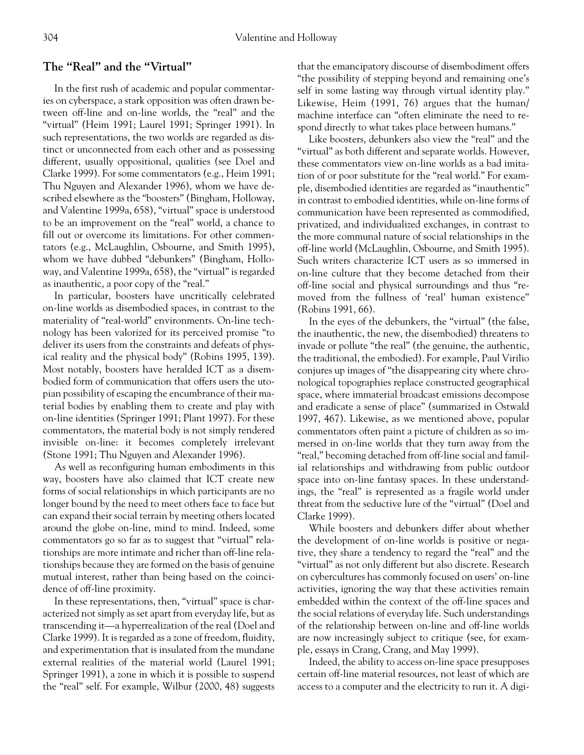## **The "Real" and the "Virtual"**

In the first rush of academic and popular commentaries on cyberspace, a stark opposition was often drawn between off-line and on-line worlds, the "real" and the "virtual" (Heim 1991; Laurel 1991; Springer 1991). In such representations, the two worlds are regarded as distinct or unconnected from each other and as possessing different, usually oppositional, qualities (see Doel and Clarke 1999). For some commentators (e.g., Heim 1991; Thu Nguyen and Alexander 1996), whom we have described elsewhere as the "boosters" (Bingham, Holloway, and Valentine 1999a, 658), "virtual" space is understood to be an improvement on the "real" world, a chance to fill out or overcome its limitations. For other commentators (e.g., McLaughlin, Osbourne, and Smith 1995), whom we have dubbed "debunkers" (Bingham, Holloway, and Valentine 1999a, 658), the "virtual" is regarded as inauthentic, a poor copy of the "real."

In particular, boosters have uncritically celebrated on-line worlds as disembodied spaces, in contrast to the materiality of "real-world" environments. On-line technology has been valorized for its perceived promise "to deliver its users from the constraints and defeats of physical reality and the physical body" (Robins 1995, 139). Most notably, boosters have heralded ICT as a disembodied form of communication that offers users the utopian possibility of escaping the encumbrance of their material bodies by enabling them to create and play with on-line identities (Springer 1991; Plant 1997). For these commentators, the material body is not simply rendered invisible on-line: it becomes completely irrelevant (Stone 1991; Thu Nguyen and Alexander 1996).

As well as reconfiguring human embodiments in this way, boosters have also claimed that ICT create new forms of social relationships in which participants are no longer bound by the need to meet others face to face but can expand their social terrain by meeting others located around the globe on-line, mind to mind. Indeed, some commentators go so far as to suggest that "virtual" relationships are more intimate and richer than off-line relationships because they are formed on the basis of genuine mutual interest, rather than being based on the coincidence of off-line proximity.

In these representations, then, "virtual" space is characterized not simply as set apart from everyday life, but as transcending it—a hyperrealization of the real (Doel and Clarke 1999). It is regarded as a zone of freedom, fluidity, and experimentation that is insulated from the mundane external realities of the material world (Laurel 1991; Springer 1991), a zone in which it is possible to suspend the "real" self. For example, Wilbur (2000, 48) suggests

that the emancipatory discourse of disembodiment offers "the possibility of stepping beyond and remaining one's self in some lasting way through virtual identity play." Likewise, Heim (1991, 76) argues that the human/ machine interface can "often eliminate the need to respond directly to what takes place between humans."

Like boosters, debunkers also view the "real" and the "virtual" as both different and separate worlds. However, these commentators view on-line worlds as a bad imitation of or poor substitute for the "real world." For example, disembodied identities are regarded as "inauthentic" in contrast to embodied identities, while on-line forms of communication have been represented as commodified, privatized, and individualized exchanges, in contrast to the more communal nature of social relationships in the off-line world (McLaughlin, Osbourne, and Smith 1995). Such writers characterize ICT users as so immersed in on-line culture that they become detached from their off-line social and physical surroundings and thus "removed from the fullness of 'real' human existence" (Robins 1991, 66).

In the eyes of the debunkers, the "virtual" (the false, the inauthentic, the new, the disembodied) threatens to invade or pollute "the real" (the genuine, the authentic, the traditional, the embodied). For example, Paul Virilio conjures up images of "the disappearing city where chronological topographies replace constructed geographical space, where immaterial broadcast emissions decompose and eradicate a sense of place" (summarized in Ostwald 1997, 467). Likewise, as we mentioned above, popular commentators often paint a picture of children as so immersed in on-line worlds that they turn away from the "real," becoming detached from off-line social and familial relationships and withdrawing from public outdoor space into on-line fantasy spaces. In these understandings, the "real" is represented as a fragile world under threat from the seductive lure of the "virtual" (Doel and Clarke 1999).

While boosters and debunkers differ about whether the development of on-line worlds is positive or negative, they share a tendency to regard the "real" and the "virtual" as not only different but also discrete. Research on cybercultures has commonly focused on users' on-line activities, ignoring the way that these activities remain embedded within the context of the off-line spaces and the social relations of everyday life. Such understandings of the relationship between on-line and off-line worlds are now increasingly subject to critique (see, for example, essays in Crang, Crang, and May 1999).

Indeed, the ability to access on-line space presupposes certain off-line material resources, not least of which are access to a computer and the electricity to run it. A digi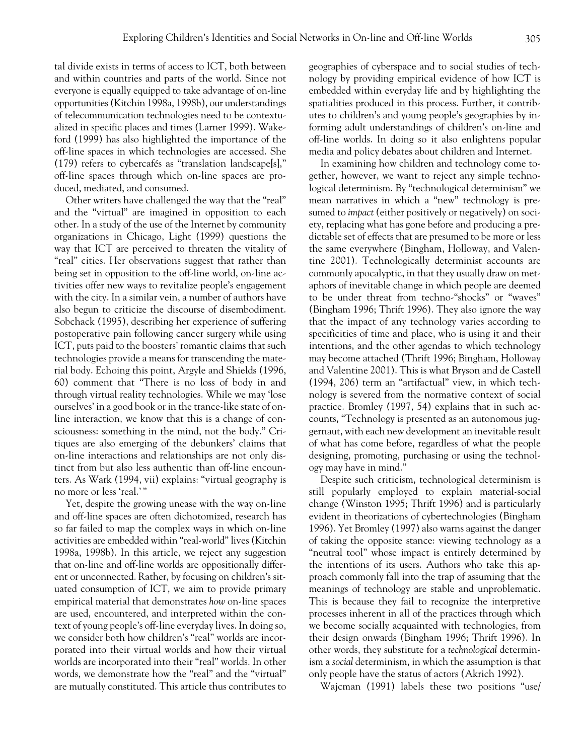tal divide exists in terms of access to ICT, both between and within countries and parts of the world. Since not everyone is equally equipped to take advantage of on-line opportunities (Kitchin 1998a, 1998b), our understandings of telecommunication technologies need to be contextualized in specific places and times (Larner 1999). Wakeford (1999) has also highlighted the importance of the off-line spaces in which technologies are accessed. She (179) refers to cybercafés as "translation landscape[s]," off-line spaces through which on-line spaces are produced, mediated, and consumed.

Other writers have challenged the way that the "real" and the "virtual" are imagined in opposition to each other. In a study of the use of the Internet by community organizations in Chicago, Light (1999) questions the way that ICT are perceived to threaten the vitality of "real" cities. Her observations suggest that rather than being set in opposition to the off-line world, on-line activities offer new ways to revitalize people's engagement with the city. In a similar vein, a number of authors have also begun to criticize the discourse of disembodiment. Sobchack (1995), describing her experience of suffering postoperative pain following cancer surgery while using ICT, puts paid to the boosters' romantic claims that such technologies provide a means for transcending the material body. Echoing this point, Argyle and Shields (1996, 60) comment that "There is no loss of body in and through virtual reality technologies. While we may 'lose ourselves' in a good book or in the trance-like state of online interaction, we know that this is a change of consciousness: something in the mind, not the body." Critiques are also emerging of the debunkers' claims that on-line interactions and relationships are not only distinct from but also less authentic than off-line encounters. As Wark (1994, vii) explains: "virtual geography is no more or less 'real.' "

Yet, despite the growing unease with the way on-line and off-line spaces are often dichotomized, research has so far failed to map the complex ways in which on-line activities are embedded within "real-world" lives (Kitchin 1998a, 1998b). In this article, we reject any suggestion that on-line and off-line worlds are oppositionally different or unconnected. Rather, by focusing on children's situated consumption of ICT, we aim to provide primary empirical material that demonstrates *how* on-line spaces are used, encountered, and interpreted within the context of young people's off-line everyday lives. In doing so, we consider both how children's "real" worlds are incorporated into their virtual worlds and how their virtual worlds are incorporated into their "real" worlds. In other words, we demonstrate how the "real" and the "virtual" are mutually constituted. This article thus contributes to

geographies of cyberspace and to social studies of technology by providing empirical evidence of how ICT is embedded within everyday life and by highlighting the spatialities produced in this process. Further, it contributes to children's and young people's geographies by informing adult understandings of children's on-line and off-line worlds. In doing so it also enlightens popular media and policy debates about children and Internet.

In examining how children and technology come together, however, we want to reject any simple technological determinism. By "technological determinism" we mean narratives in which a "new" technology is presumed to *impact* (either positively or negatively) on society, replacing what has gone before and producing a predictable set of effects that are presumed to be more or less the same everywhere (Bingham, Holloway, and Valentine 2001). Technologically determinist accounts are commonly apocalyptic, in that they usually draw on metaphors of inevitable change in which people are deemed to be under threat from techno-"shocks" or "waves" (Bingham 1996; Thrift 1996). They also ignore the way that the impact of any technology varies according to specificities of time and place, who is using it and their intentions, and the other agendas to which technology may become attached (Thrift 1996; Bingham, Holloway and Valentine 2001). This is what Bryson and de Castell (1994, 206) term an "artifactual" view, in which technology is severed from the normative context of social practice. Bromley (1997, 54) explains that in such accounts, "Technology is presented as an autonomous juggernaut, with each new development an inevitable result of what has come before, regardless of what the people designing, promoting, purchasing or using the technology may have in mind."

Despite such criticism, technological determinism is still popularly employed to explain material-social change (Winston 1995; Thrift 1996) and is particularly evident in theorizations of cybertechnologies (Bingham 1996). Yet Bromley (1997) also warns against the danger of taking the opposite stance: viewing technology as a "neutral tool" whose impact is entirely determined by the intentions of its users. Authors who take this approach commonly fall into the trap of assuming that the meanings of technology are stable and unproblematic. This is because they fail to recognize the interpretive processes inherent in all of the practices through which we become socially acquainted with technologies, from their design onwards (Bingham 1996; Thrift 1996). In other words, they substitute for a *technological* determinism a *social* determinism, in which the assumption is that only people have the status of actors (Akrich 1992).

Wajcman (1991) labels these two positions "use/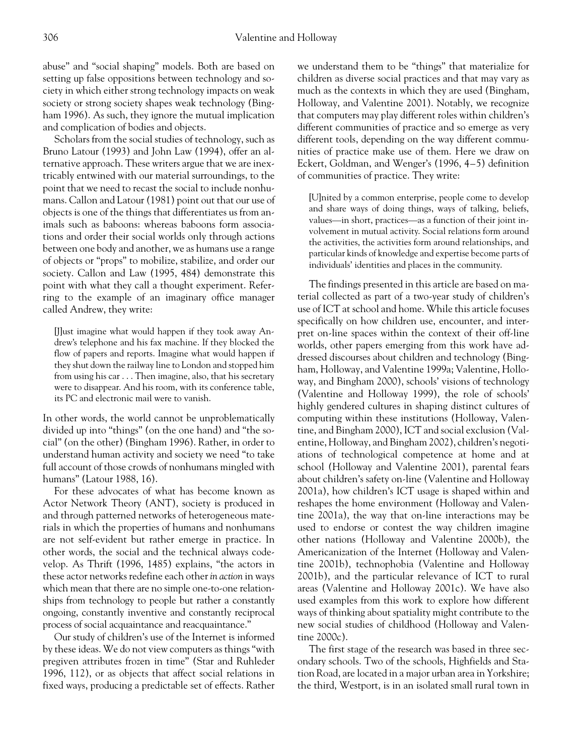abuse" and "social shaping" models. Both are based on setting up false oppositions between technology and society in which either strong technology impacts on weak society or strong society shapes weak technology (Bingham 1996). As such, they ignore the mutual implication and complication of bodies and objects.

Scholars from the social studies of technology, such as Bruno Latour (1993) and John Law (1994), offer an alternative approach. These writers argue that we are inextricably entwined with our material surroundings, to the point that we need to recast the social to include nonhumans. Callon and Latour (1981) point out that our use of objects is one of the things that differentiates us from animals such as baboons: whereas baboons form associations and order their social worlds only through actions between one body and another, we as humans use a range of objects or "props" to mobilize, stabilize, and order our society. Callon and Law (1995, 484) demonstrate this point with what they call a thought experiment. Referring to the example of an imaginary office manager called Andrew, they write:

[J]ust imagine what would happen if they took away Andrew's telephone and his fax machine. If they blocked the flow of papers and reports. Imagine what would happen if they shut down the railway line to London and stopped him from using his car . . . Then imagine, also, that his secretary were to disappear. And his room, with its conference table, its PC and electronic mail were to vanish.

In other words, the world cannot be unproblematically divided up into "things" (on the one hand) and "the social" (on the other) (Bingham 1996). Rather, in order to understand human activity and society we need "to take full account of those crowds of nonhumans mingled with humans" (Latour 1988, 16).

For these advocates of what has become known as Actor Network Theory (ANT), society is produced in and through patterned networks of heterogeneous materials in which the properties of humans and nonhumans are not self-evident but rather emerge in practice. In other words, the social and the technical always codevelop. As Thrift (1996, 1485) explains, "the actors in these actor networks redefine each other *in action* in ways which mean that there are no simple one-to-one relationships from technology to people but rather a constantly ongoing, constantly inventive and constantly reciprocal process of social acquaintance and reacquaintance."

Our study of children's use of the Internet is informed by these ideas. We do not view computers as things "with pregiven attributes frozen in time" (Star and Ruhleder 1996, 112), or as objects that affect social relations in fixed ways, producing a predictable set of effects. Rather

we understand them to be "things" that materialize for children as diverse social practices and that may vary as much as the contexts in which they are used (Bingham, Holloway, and Valentine 2001). Notably, we recognize that computers may play different roles within children's different communities of practice and so emerge as very different tools, depending on the way different communities of practice make use of them. Here we draw on Eckert, Goldman, and Wenger's (1996, 4–5) definition of communities of practice. They write:

[U]nited by a common enterprise, people come to develop and share ways of doing things, ways of talking, beliefs, values—in short, practices—as a function of their joint involvement in mutual activity. Social relations form around the activities, the activities form around relationships, and particular kinds of knowledge and expertise become parts of individuals' identities and places in the community.

The findings presented in this article are based on material collected as part of a two-year study of children's use of ICT at school and home. While this article focuses specifically on how children use, encounter, and interpret on-line spaces within the context of their off-line worlds, other papers emerging from this work have addressed discourses about children and technology (Bingham, Holloway, and Valentine 1999a; Valentine, Holloway, and Bingham 2000), schools' visions of technology (Valentine and Holloway 1999), the role of schools' highly gendered cultures in shaping distinct cultures of computing within these institutions (Holloway, Valentine, and Bingham 2000), ICT and social exclusion (Valentine, Holloway, and Bingham 2002), children's negotiations of technological competence at home and at school (Holloway and Valentine 2001), parental fears about children's safety on-line (Valentine and Holloway 2001a), how children's ICT usage is shaped within and reshapes the home environment (Holloway and Valentine 2001a), the way that on-line interactions may be used to endorse or contest the way children imagine other nations (Holloway and Valentine 2000b), the Americanization of the Internet (Holloway and Valentine 2001b), technophobia (Valentine and Holloway 2001b), and the particular relevance of ICT to rural areas (Valentine and Holloway 2001c). We have also used examples from this work to explore how different ways of thinking about spatiality might contribute to the new social studies of childhood (Holloway and Valentine 2000c).

The first stage of the research was based in three secondary schools. Two of the schools, Highfields and Station Road, are located in a major urban area in Yorkshire; the third, Westport, is in an isolated small rural town in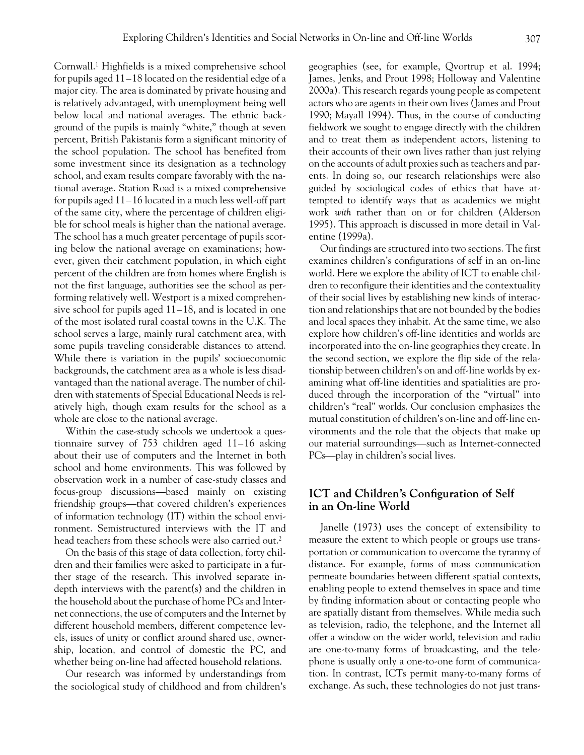Cornwall.1 Highfields is a mixed comprehensive school for pupils aged 11–18 located on the residential edge of a major city. The area is dominated by private housing and is relatively advantaged, with unemployment being well below local and national averages. The ethnic background of the pupils is mainly "white," though at seven percent, British Pakistanis form a significant minority of the school population. The school has benefited from some investment since its designation as a technology school, and exam results compare favorably with the national average. Station Road is a mixed comprehensive for pupils aged 11–16 located in a much less well-off part of the same city, where the percentage of children eligible for school meals is higher than the national average. The school has a much greater percentage of pupils scoring below the national average on examinations; however, given their catchment population, in which eight percent of the children are from homes where English is not the first language, authorities see the school as performing relatively well. Westport is a mixed comprehensive school for pupils aged 11–18, and is located in one of the most isolated rural coastal towns in the U.K. The school serves a large, mainly rural catchment area, with some pupils traveling considerable distances to attend. While there is variation in the pupils' socioeconomic backgrounds, the catchment area as a whole is less disadvantaged than the national average. The number of children with statements of Special Educational Needs is relatively high, though exam results for the school as a whole are close to the national average.

Within the case-study schools we undertook a questionnaire survey of 753 children aged 11–16 asking about their use of computers and the Internet in both school and home environments. This was followed by observation work in a number of case-study classes and focus-group discussions—based mainly on existing friendship groups—that covered children's experiences of information technology (IT) within the school environment. Semistructured interviews with the IT and head teachers from these schools were also carried out.<sup>2</sup>

On the basis of this stage of data collection, forty children and their families were asked to participate in a further stage of the research. This involved separate indepth interviews with the parent(s) and the children in the household about the purchase of home PCs and Internet connections, the use of computers and the Internet by different household members, different competence levels, issues of unity or conflict around shared use, ownership, location, and control of domestic the PC, and whether being on-line had affected household relations.

Our research was informed by understandings from the sociological study of childhood and from children's

geographies (see, for example, Qvortrup et al. 1994; James, Jenks, and Prout 1998; Holloway and Valentine 2000a). This research regards young people as competent actors who are agents in their own lives (James and Prout 1990; Mayall 1994). Thus, in the course of conducting fieldwork we sought to engage directly with the children and to treat them as independent actors, listening to their accounts of their own lives rather than just relying on the accounts of adult proxies such as teachers and parents. In doing so, our research relationships were also guided by sociological codes of ethics that have attempted to identify ways that as academics we might work *with* rather than on or for children (Alderson 1995). This approach is discussed in more detail in Valentine (1999a).

Our findings are structured into two sections. The first examines children's configurations of self in an on-line world. Here we explore the ability of ICT to enable children to reconfigure their identities and the contextuality of their social lives by establishing new kinds of interaction and relationships that are not bounded by the bodies and local spaces they inhabit. At the same time, we also explore how children's off-line identities and worlds are incorporated into the on-line geographies they create. In the second section, we explore the flip side of the relationship between children's on and off-line worlds by examining what off-line identities and spatialities are produced through the incorporation of the "virtual" into children's "real" worlds. Our conclusion emphasizes the mutual constitution of children's on-line and off-line environments and the role that the objects that make up our material surroundings—such as Internet-connected PCs—play in children's social lives.

## **ICT and Children's Configuration of Self in an On-line World**

Janelle (1973) uses the concept of extensibility to measure the extent to which people or groups use transportation or communication to overcome the tyranny of distance. For example, forms of mass communication permeate boundaries between different spatial contexts, enabling people to extend themselves in space and time by finding information about or contacting people who are spatially distant from themselves. While media such as television, radio, the telephone, and the Internet all offer a window on the wider world, television and radio are one-to-many forms of broadcasting, and the telephone is usually only a one-to-one form of communication. In contrast, ICTs permit many-to-many forms of exchange. As such, these technologies do not just trans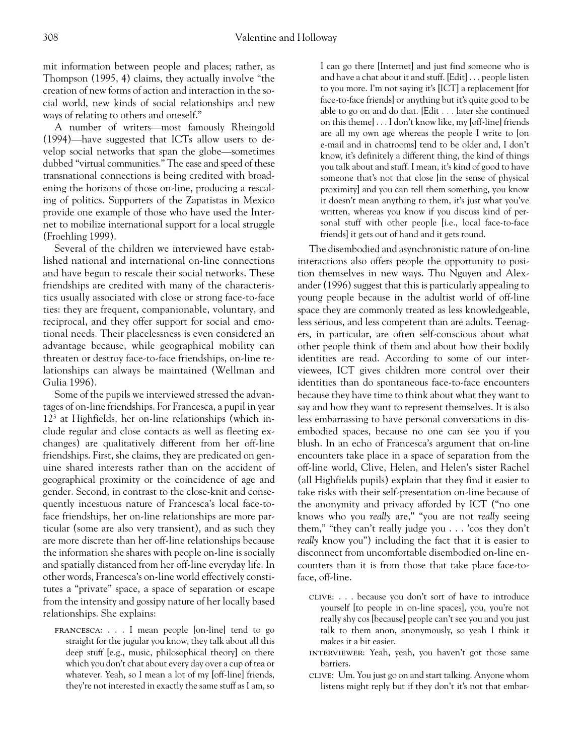mit information between people and places; rather, as Thompson (1995, 4) claims, they actually involve "the creation of new forms of action and interaction in the social world, new kinds of social relationships and new ways of relating to others and oneself."

A number of writers—most famously Rheingold (1994)—have suggested that ICTs allow users to develop social networks that span the globe—sometimes dubbed "virtual communities." The ease and speed of these transnational connections is being credited with broadening the horizons of those on-line, producing a rescaling of politics. Supporters of the Zapatistas in Mexico provide one example of those who have used the Internet to mobilize international support for a local struggle (Froehling 1999).

Several of the children we interviewed have established national and international on-line connections and have begun to rescale their social networks. These friendships are credited with many of the characteristics usually associated with close or strong face-to-face ties: they are frequent, companionable, voluntary, and reciprocal, and they offer support for social and emotional needs. Their placelessness is even considered an advantage because, while geographical mobility can threaten or destroy face-to-face friendships, on-line relationships can always be maintained (Wellman and Gulia 1996).

Some of the pupils we interviewed stressed the advantages of on-line friendships. For Francesca, a pupil in year 123 at Highfields, her on-line relationships (which include regular and close contacts as well as fleeting exchanges) are qualitatively different from her off-line friendships. First, she claims, they are predicated on genuine shared interests rather than on the accident of geographical proximity or the coincidence of age and gender. Second, in contrast to the close-knit and consequently incestuous nature of Francesca's local face-toface friendships, her on-line relationships are more particular (some are also very transient), and as such they are more discrete than her off-line relationships because the information she shares with people on-line is socially and spatially distanced from her off-line everyday life. In other words, Francesca's on-line world effectively constitutes a "private" space, a space of separation or escape from the intensity and gossipy nature of her locally based relationships. She explains:

francesca: . . . I mean people [on-line] tend to go straight for the jugular you know, they talk about all this deep stuff [e.g., music, philosophical theory] on there which you don't chat about every day over a cup of tea or whatever. Yeah, so I mean a lot of my [off-line] friends, they're not interested in exactly the same stuff as I am, so

I can go there [Internet] and just find someone who is and have a chat about it and stuff. [Edit] . . . people listen to you more. I'm not saying it's [ICT] a replacement [for face-to-face friends] or anything but it's quite good to be able to go on and do that. [Edit . . . later she continued on this theme] . . . I don't know like, my [off-line] friends are all my own age whereas the people I write to [on e-mail and in chatrooms] tend to be older and, I don't know, it's definitely a different thing, the kind of things you talk about and stuff. I mean, it's kind of good to have someone that's not that close [in the sense of physical proximity] and you can tell them something, you know it doesn't mean anything to them, it's just what you've written, whereas you know if you discuss kind of personal stuff with other people [i.e., local face-to-face friends] it gets out of hand and it gets round.

The disembodied and asynchronistic nature of on-line interactions also offers people the opportunity to position themselves in new ways. Thu Nguyen and Alexander (1996) suggest that this is particularly appealing to young people because in the adultist world of off-line space they are commonly treated as less knowledgeable, less serious, and less competent than are adults. Teenagers, in particular, are often self-conscious about what other people think of them and about how their bodily identities are read. According to some of our interviewees, ICT gives children more control over their identities than do spontaneous face-to-face encounters because they have time to think about what they want to say and how they want to represent themselves. It is also less embarrassing to have personal conversations in disembodied spaces, because no one can see you if you blush. In an echo of Francesca's argument that on-line encounters take place in a space of separation from the off-line world, Clive, Helen, and Helen's sister Rachel (all Highfields pupils) explain that they find it easier to take risks with their self-presentation on-line because of the anonymity and privacy afforded by ICT ("no one knows who you *really* are," "you are not *really* seeing them," "they can't really judge you . . . 'cos they don't *really* know you") including the fact that it is easier to disconnect from uncomfortable disembodied on-line encounters than it is from those that take place face-toface, off-line.

- clive: . . . because you don't sort of have to introduce yourself [to people in on-line spaces], you, you're not really shy cos [because] people can't see you and you just talk to them anon, anonymously, so yeah I think it makes it a bit easier.
- INTERVIEWER: Yeah, yeah, you haven't got those same barriers.
- clive: Um. You just go on and start talking. Anyone whom listens might reply but if they don't it's not that embar-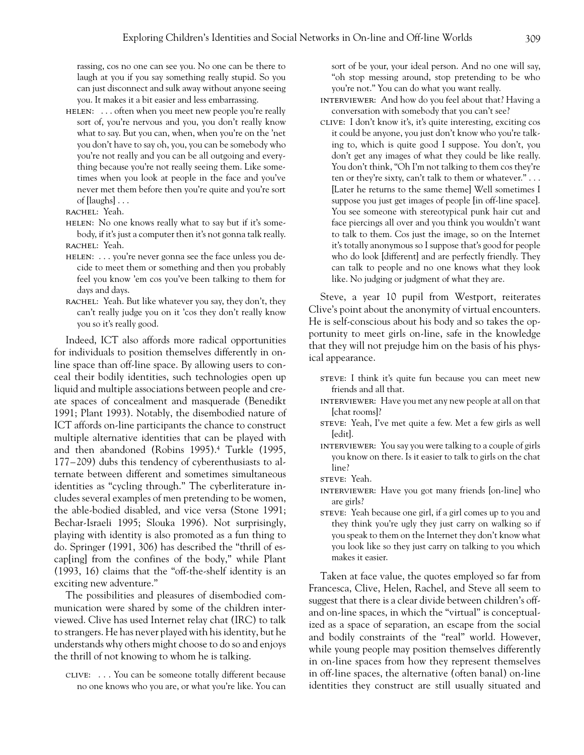rassing, cos no one can see you. No one can be there to laugh at you if you say something really stupid. So you can just disconnect and sulk away without anyone seeing you. It makes it a bit easier and less embarrassing.

HELEN: ... often when you meet new people you're really sort of, you're nervous and you, you don't really know what to say. But you can, when, when you're on the 'net you don't have to say oh, you, you can be somebody who you're not really and you can be all outgoing and everything because you're not really seeing them. Like sometimes when you look at people in the face and you've never met them before then you're quite and you're sort of  $[$ laughs $] \ldots$ 

RACHEL: Yeah.

- helen: No one knows really what to say but if it's somebody, if it's just a computer then it's not gonna talk really. RACHEL: Yeah.
- helen: . . . you're never gonna see the face unless you decide to meet them or something and then you probably feel you know 'em cos you've been talking to them for days and days.
- rachel: Yeah. But like whatever you say, they don't, they can't really judge you on it 'cos they don't really know you so it's really good.

Indeed, ICT also affords more radical opportunities for individuals to position themselves differently in online space than off-line space. By allowing users to conceal their bodily identities, such technologies open up liquid and multiple associations between people and create spaces of concealment and masquerade (Benedikt 1991; Plant 1993). Notably, the disembodied nature of ICT affords on-line participants the chance to construct multiple alternative identities that can be played with and then abandoned (Robins 1995).4 Turkle (1995, 177–209) dubs this tendency of cyberenthusiasts to alternate between different and sometimes simultaneous identities as "cycling through." The cyberliterature includes several examples of men pretending to be women, the able-bodied disabled, and vice versa (Stone 1991; Bechar-Israeli 1995; Slouka 1996). Not surprisingly, playing with identity is also promoted as a fun thing to do. Springer (1991, 306) has described the "thrill of escap[ing] from the confines of the body," while Plant (1993, 16) claims that the "off-the-shelf identity is an exciting new adventure."

The possibilities and pleasures of disembodied communication were shared by some of the children interviewed. Clive has used Internet relay chat (IRC) to talk to strangers. He has never played with his identity, but he understands why others might choose to do so and enjoys the thrill of not knowing to whom he is talking.

clive: . . . You can be someone totally different because no one knows who you are, or what you're like. You can sort of be your, your ideal person. And no one will say, "oh stop messing around, stop pretending to be who you're not." You can do what you want really.

- INTERVIEWER: And how do you feel about that? Having a conversation with somebody that you can't see?
- clive: I don't know it's, it's quite interesting, exciting cos it could be anyone, you just don't know who you're talking to, which is quite good I suppose. You don't, you don't get any images of what they could be like really. You don't think, "Oh I'm not talking to them cos they're ten or they're sixty, can't talk to them or whatever." . . . [Later he returns to the same theme] Well sometimes I suppose you just get images of people [in off-line space]. You see someone with stereotypical punk hair cut and face piercings all over and you think you wouldn't want to talk to them. Cos just the image, so on the Internet it's totally anonymous so I suppose that's good for people who do look [different] and are perfectly friendly. They can talk to people and no one knows what they look like. No judging or judgment of what they are.

Steve, a year 10 pupil from Westport, reiterates Clive's point about the anonymity of virtual encounters. He is self-conscious about his body and so takes the opportunity to meet girls on-line, safe in the knowledge that they will not prejudge him on the basis of his physical appearance.

- sTEVE: I think it's quite fun because you can meet new friends and all that.
- interviewer: Have you met any new people at all on that [chat rooms]?
- sTEVE: Yeah, I've met quite a few. Met a few girls as well [edit].
- INTERVIEWER: You say you were talking to a couple of girls you know on there. Is it easier to talk to girls on the chat line?
- steve: Yeah.
- interviewer: Have you got many friends [on-line] who are girls?
- sTEVE: Yeah because one girl, if a girl comes up to you and they think you're ugly they just carry on walking so if you speak to them on the Internet they don't know what you look like so they just carry on talking to you which makes it easier.

Taken at face value, the quotes employed so far from Francesca, Clive, Helen, Rachel, and Steve all seem to suggest that there is a clear divide between children's offand on-line spaces, in which the "virtual" is conceptualized as a space of separation, an escape from the social and bodily constraints of the "real" world. However, while young people may position themselves differently in on-line spaces from how they represent themselves in off-line spaces, the alternative (often banal) on-line identities they construct are still usually situated and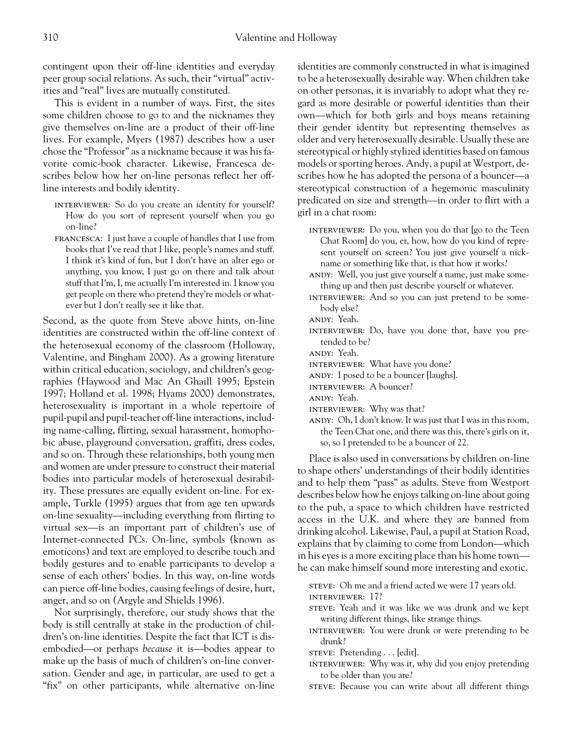contingent upon their off-line identities and everyday peer group social relations. As such, their "virtual" activities and "real" lives are mutually constituted.

This is evident in a number of ways. First, the sites some children choose to go to and the nicknames they give themselves on-line are a product of their off-line lives. For example, Myers (1987) describes how a user chose the "Professor" as a nickname because it was his favorite comic-book character. Likewise, Francesca describes below how her on-line personas reflect her offline interests and bodily identity.

- INTERVIEWER: So do you create an identity for yourself? How do you sort of represent yourself when you go on-line?
- francesca: I just have a couple of handles that I use from books that I've read that I like, people's names and stuff. I think it's kind of fun, but I don't have an alter ego or anything, you know, I just go on there and talk about stuff that I'm, I, me actually I'm interested in. I know you get people on there who pretend they're models or whatever but I don't really see it like that.

Second, as the quote from Steve above hints, on-line identities are constructed within the off-line context of the heterosexual economy of the classroom (Holloway, Valentine, and Bingham 2000). As a growing literature within critical education, sociology, and children's geographies (Haywood and Mac An Ghaill 1995; Epstein 1997; Holland et al. 1998; Hyams 2000) demonstrates, heterosexuality is important in a whole repertoire of pupil-pupil and pupil-teacher off-line interactions, including name-calling, flirting, sexual harassment, homophobic abuse, playground conversation, graffiti, dress codes, and so on. Through these relationships, both young men and women are under pressure to construct their material bodies into particular models of heterosexual desirability. These pressures are equally evident on-line. For example, Turkle (1995) argues that from age ten upwards on-line sexuality—including everything from flirting to virtual sex—is an important part of children's use of Internet-connected PCs. On-line, symbols (known as emoticons) and text are employed to describe touch and bodily gestures and to enable participants to develop a sense of each others' bodies. In this way, on-line words can pierce off-line bodies, causing feelings of desire, hurt, anger, and so on (Argyle and Shields 1996).

Not surprisingly, therefore, our study shows that the body is still centrally at stake in the production of children's on-line identities. Despite the fact that ICT is disembodied—or perhaps *because* it is—bodies appear to make up the basis of much of children's on-line conversation. Gender and age, in particular, are used to get a "fix" on other participants, while alternative on-line

identities are commonly constructed in what is imagined to be a heterosexually desirable way. When children take on other personas, it is invariably to adopt what they regard as more desirable or powerful identities than their own—which for both girls and boys means retaining their gender identity but representing themselves as older and very heterosexually desirable. Usually these are stereotypical or highly stylized identities based on famous models or sporting heroes. Andy, a pupil at Westport, describes how he has adopted the persona of a bouncer—a stereotypical construction of a hegemonic masculinity predicated on size and strength—in order to flirt with a girl in a chat room:

- INTERVIEWER: Do you, when you do that [go to the Teen Chat Room] do you, er, how, how do you kind of represent yourself on screen? You just give yourself a nickname or something like that, is that how it works?
- andy: Well, you just give yourself a name, just make something up and then just describe yourself or whatever.
- INTERVIEWER: And so you can just pretend to be somebody else?
- andy: Yeah.
- INTERVIEWER: Do, have you done that, have you pretended to be?
- ANDY: Yeah.
- INTERVIEWER: What have you done?
- ANDY: I posed to be a bouncer [laughs].
- interviewer: A bouncer?
- ANDY: Yeah.
- INTERVIEWER: Why was that?
- andy: Oh, I don't know. It was just that I was in this room, the Teen Chat one, and there was this, there's girls on it, so, so I pretended to be a bouncer of 22.

Place is also used in conversations by children on-line to shape others' understandings of their bodily identities and to help them "pass" as adults. Steve from Westport describes below how he enjoys talking on-line about going to the pub, a space to which children have restricted access in the U.K. and where they are banned from drinking alcohol. Likewise, Paul, a pupil at Station Road, explains that by claiming to come from London—which in his eyes is a more exciting place than his home town he can make himself sound more interesting and exotic.

streve: Oh me and a friend acted we were 17 years old. interviewer: 17?

- steve: Yeah and it was like we was drunk and we kept writing different things, like strange things.
- INTERVIEWER: You were drunk or were pretending to be drunk?
- steve: Pretending . . . [edit].
- INTERVIEWER: Why was it, why did you enjoy pretending to be older than you are?
- sTEVE: Because you can write about all different things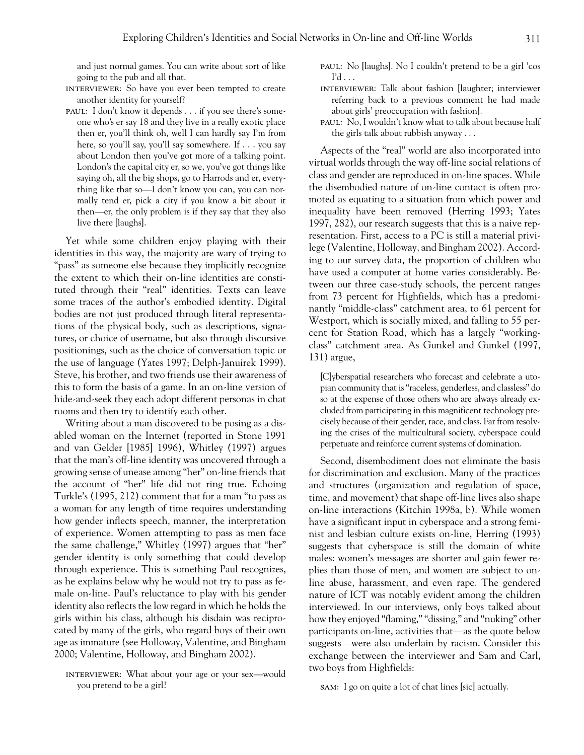and just normal games. You can write about sort of like going to the pub and all that.

- INTERVIEWER: So have you ever been tempted to create another identity for yourself?
- paul: I don't know it depends . . . if you see there's someone who's er say 18 and they live in a really exotic place then er, you'll think oh, well I can hardly say I'm from here, so you'll say, you'll say somewhere. If . . . you say about London then you've got more of a talking point. London's the capital city er, so we, you've got things like saying oh, all the big shops, go to Harrods and er, everything like that so—I don't know you can, you can normally tend er, pick a city if you know a bit about it then—er, the only problem is if they say that they also live there [laughs].

Yet while some children enjoy playing with their identities in this way, the majority are wary of trying to "pass" as someone else because they implicitly recognize the extent to which their on-line identities are constituted through their "real" identities. Texts can leave some traces of the author's embodied identity. Digital bodies are not just produced through literal representations of the physical body, such as descriptions, signatures, or choice of username, but also through discursive positionings, such as the choice of conversation topic or the use of language (Yates 1997; Delph-Januirek 1999). Steve, his brother, and two friends use their awareness of this to form the basis of a game. In an on-line version of hide-and-seek they each adopt different personas in chat rooms and then try to identify each other.

Writing about a man discovered to be posing as a disabled woman on the Internet (reported in Stone 1991 and van Gelder [1985] 1996), Whitley (1997) argues that the man's off-line identity was uncovered through a growing sense of unease among "her" on-line friends that the account of "her" life did not ring true. Echoing Turkle's (1995, 212) comment that for a man "to pass as a woman for any length of time requires understanding how gender inflects speech, manner, the interpretation of experience. Women attempting to pass as men face the same challenge," Whitley (1997) argues that "her" gender identity is only something that could develop through experience. This is something Paul recognizes, as he explains below why he would not try to pass as female on-line. Paul's reluctance to play with his gender identity also reflects the low regard in which he holds the girls within his class, although his disdain was reciprocated by many of the girls, who regard boys of their own age as immature (see Holloway, Valentine, and Bingham 2000; Valentine, Holloway, and Bingham 2002).

- paul: No [laughs]. No I couldn't pretend to be a girl 'cos  $\Gamma$ d . . .
- interviewer: Talk about fashion [laughter; interviewer referring back to a previous comment he had made about girls' preoccupation with fashion].
- paul: No, I wouldn't know what to talk about because half the girls talk about rubbish anyway . . .

Aspects of the "real" world are also incorporated into virtual worlds through the way off-line social relations of class and gender are reproduced in on-line spaces. While the disembodied nature of on-line contact is often promoted as equating to a situation from which power and inequality have been removed (Herring 1993; Yates 1997, 282), our research suggests that this is a naive representation. First, access to a PC is still a material privilege (Valentine, Holloway, and Bingham 2002). According to our survey data, the proportion of children who have used a computer at home varies considerably. Between our three case-study schools, the percent ranges from 73 percent for Highfields, which has a predominantly "middle-class" catchment area, to 61 percent for Westport, which is socially mixed, and falling to 55 percent for Station Road, which has a largely "workingclass" catchment area. As Gunkel and Gunkel (1997, 131) argue,

[C]yberspatial researchers who forecast and celebrate a utopian community that is "raceless, genderless, and classless" do so at the expense of those others who are always already excluded from participating in this magnificent technology precisely because of their gender, race, and class. Far from resolving the crises of the multicultural society, cyberspace could perpetuate and reinforce current systems of domination.

Second, disembodiment does not eliminate the basis for discrimination and exclusion. Many of the practices and structures (organization and regulation of space, time, and movement) that shape off-line lives also shape on-line interactions (Kitchin 1998a, b). While women have a significant input in cyberspace and a strong feminist and lesbian culture exists on-line, Herring (1993) suggests that cyberspace is still the domain of white males: women's messages are shorter and gain fewer replies than those of men, and women are subject to online abuse, harassment, and even rape. The gendered nature of ICT was notably evident among the children interviewed. In our interviews, only boys talked about how they enjoyed "flaming," "dissing," and "nuking" other participants on-line, activities that—as the quote below suggests—were also underlain by racism. Consider this exchange between the interviewer and Sam and Carl, two boys from Highfields:

sam: I go on quite a lot of chat lines [sic] actually.

interviewer: What about your age or your sex—would you pretend to be a girl?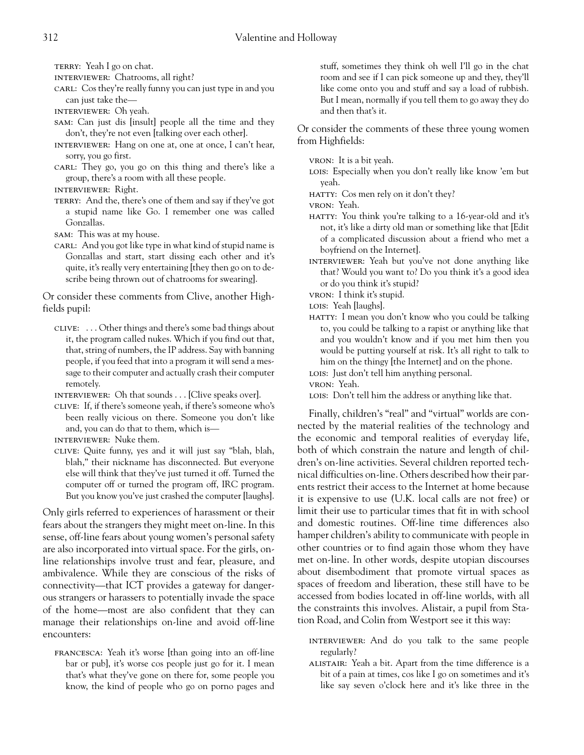TERRY: Yeah I go on chat.

INTERVIEWER: Chatrooms, all right?

carl: Cos they're really funny you can just type in and you can just take the—

- interviewer: Oh yeah.
- sam: Can just dis [insult] people all the time and they don't, they're not even [talking over each other].
- INTERVIEWER: Hang on one at, one at once, I can't hear, sorry, you go first.
- carl: They go, you go on this thing and there's like a group, there's a room with all these people.

interviewer: Right.

TERRY: And the, there's one of them and say if they've got a stupid name like Go. I remember one was called Gonzallas.

sam: This was at my house.

carl: And you got like type in what kind of stupid name is Gonzallas and start, start dissing each other and it's quite, it's really very entertaining [they then go on to describe being thrown out of chatrooms for swearing].

Or consider these comments from Clive, another Highfields pupil:

clive: . . . Other things and there's some bad things about it, the program called nukes. Which if you find out that, that, string of numbers, the IP address. Say with banning people, if you feed that into a program it will send a message to their computer and actually crash their computer remotely.

INTERVIEWER: Oh that sounds . . . [Clive speaks over].

clive: If, if there's someone yeah, if there's someone who's been really vicious on there. Someone you don't like and, you can do that to them, which is—

interviewer: Nuke them.

clive: Quite funny, yes and it will just say "blah, blah, blah," their nickname has disconnected. But everyone else will think that they've just turned it off. Turned the computer off or turned the program off, IRC program. But you know you've just crashed the computer [laughs].

Only girls referred to experiences of harassment or their fears about the strangers they might meet on-line. In this sense, off-line fears about young women's personal safety are also incorporated into virtual space. For the girls, online relationships involve trust and fear, pleasure, and ambivalence. While they are conscious of the risks of connectivity—that ICT provides a gateway for dangerous strangers or harassers to potentially invade the space of the home—most are also confident that they can manage their relationships on-line and avoid off-line encounters:

francesca: Yeah it's worse [than going into an off-line bar or pub], it's worse cos people just go for it. I mean that's what they've gone on there for, some people you know, the kind of people who go on porno pages and stuff, sometimes they think oh well I'll go in the chat room and see if I can pick someone up and they, they'll like come onto you and stuff and say a load of rubbish. But I mean, normally if you tell them to go away they do and then that's it.

Or consider the comments of these three young women from Highfields:

vron: It is a bit yeah.

LOIS: Especially when you don't really like know 'em but yeah.

HATTY: Cos men rely on it don't they?

vron: Yeah.

- HATTY: You think you're talking to a 16-year-old and it's not, it's like a dirty old man or something like that [Edit of a complicated discussion about a friend who met a boyfriend on the Internet].
- INTERVIEWER: Yeah but you've not done anything like that? Would you want to? Do you think it's a good idea or do you think it's stupid?

vron: I think it's stupid.

LOIS: Yeah [laughs].

HATTY: I mean you don't know who you could be talking to, you could be talking to a rapist or anything like that and you wouldn't know and if you met him then you would be putting yourself at risk. It's all right to talk to him on the thingy [the Internet] and on the phone.

LOIS: Just don't tell him anything personal.

vron: Yeah.

LOIS: Don't tell him the address or anything like that.

Finally, children's "real" and "virtual" worlds are connected by the material realities of the technology and the economic and temporal realities of everyday life, both of which constrain the nature and length of children's on-line activities. Several children reported technical difficulties on-line. Others described how their parents restrict their access to the Internet at home because it is expensive to use (U.K. local calls are not free) or limit their use to particular times that fit in with school and domestic routines. Off-line time differences also hamper children's ability to communicate with people in other countries or to find again those whom they have met on-line. In other words, despite utopian discourses about disembodiment that promote virtual spaces as spaces of freedom and liberation, these still have to be accessed from bodies located in off-line worlds, with all the constraints this involves. Alistair, a pupil from Station Road, and Colin from Westport see it this way:

- INTERVIEWER: And do you talk to the same people regularly?
- ALISTAIR: Yeah a bit. Apart from the time difference is a bit of a pain at times, cos like I go on sometimes and it's like say seven o'clock here and it's like three in the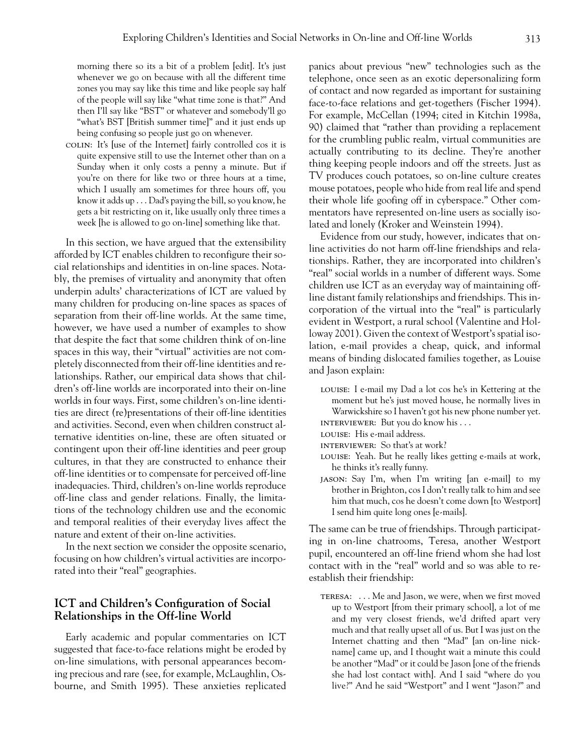morning there so its a bit of a problem [edit]. It's just whenever we go on because with all the different time zones you may say like this time and like people say half of the people will say like "what time zone is that?" And then I'll say like "BST" or whatever and somebody'll go "what's BST [British summer time]" and it just ends up being confusing so people just go on whenever.

colin: It's [use of the Internet] fairly controlled cos it is quite expensive still to use the Internet other than on a Sunday when it only costs a penny a minute. But if you're on there for like two or three hours at a time, which I usually am sometimes for three hours off, you know it adds up . . . Dad's paying the bill, so you know, he gets a bit restricting on it, like usually only three times a week [he is allowed to go on-line] something like that.

In this section, we have argued that the extensibility afforded by ICT enables children to reconfigure their social relationships and identities in on-line spaces. Notably, the premises of virtuality and anonymity that often underpin adults' characterizations of ICT are valued by many children for producing on-line spaces as spaces of separation from their off-line worlds. At the same time, however, we have used a number of examples to show that despite the fact that some children think of on-line spaces in this way, their "virtual" activities are not completely disconnected from their off-line identities and relationships. Rather, our empirical data shows that children's off-line worlds are incorporated into their on-line worlds in four ways. First, some children's on-line identities are direct (re)presentations of their off-line identities and activities. Second, even when children construct alternative identities on-line, these are often situated or contingent upon their off-line identities and peer group cultures, in that they are constructed to enhance their off-line identities or to compensate for perceived off-line inadequacies. Third, children's on-line worlds reproduce off-line class and gender relations. Finally, the limitations of the technology children use and the economic and temporal realities of their everyday lives affect the nature and extent of their on-line activities.

In the next section we consider the opposite scenario, focusing on how children's virtual activities are incorporated into their "real" geographies.

# **ICT and Children's Configuration of Social Relationships in the Off-line World**

Early academic and popular commentaries on ICT suggested that face-to-face relations might be eroded by on-line simulations, with personal appearances becoming precious and rare (see, for example, McLaughlin, Osbourne, and Smith 1995). These anxieties replicated

panics about previous "new" technologies such as the telephone, once seen as an exotic depersonalizing form of contact and now regarded as important for sustaining face-to-face relations and get-togethers (Fischer 1994). For example, McCellan (1994; cited in Kitchin 1998a, 90) claimed that "rather than providing a replacement for the crumbling public realm, virtual communities are actually contributing to its decline. They're another thing keeping people indoors and off the streets. Just as TV produces couch potatoes, so on-line culture creates mouse potatoes, people who hide from real life and spend their whole life goofing off in cyberspace." Other commentators have represented on-line users as socially isolated and lonely (Kroker and Weinstein 1994).

Evidence from our study, however, indicates that online activities do not harm off-line friendships and relationships. Rather, they are incorporated into children's "real" social worlds in a number of different ways. Some children use ICT as an everyday way of maintaining offline distant family relationships and friendships. This incorporation of the virtual into the "real" is particularly evident in Westport, a rural school (Valentine and Holloway 2001). Given the context of Westport's spatial isolation, e-mail provides a cheap, quick, and informal means of binding dislocated families together, as Louise and Jason explain:

- louise: I e-mail my Dad a lot cos he's in Kettering at the moment but he's just moved house, he normally lives in Warwickshire so I haven't got his new phone number yet. interviewer: But you do know his . . .
- LOUISE: His e-mail address.
- interviewer: So that's at work?
- louise: Yeah. But he really likes getting e-mails at work, he thinks it's really funny.
- jason: Say I'm, when I'm writing [an e-mail] to my brother in Brighton, cos I don't really talk to him and see him that much, cos he doesn't come down [to Westport] I send him quite long ones [e-mails].

The same can be true of friendships. Through participating in on-line chatrooms, Teresa, another Westport pupil, encountered an off-line friend whom she had lost contact with in the "real" world and so was able to reestablish their friendship:

TERESA: ... Me and Jason, we were, when we first moved up to Westport [from their primary school], a lot of me and my very closest friends, we'd drifted apart very much and that really upset all of us. But I was just on the Internet chatting and then "Mad" [an on-line nickname] came up, and I thought wait a minute this could be another "Mad" or it could be Jason [one of the friends she had lost contact with]. And I said "where do you live?" And he said "Westport" and I went "Jason?" and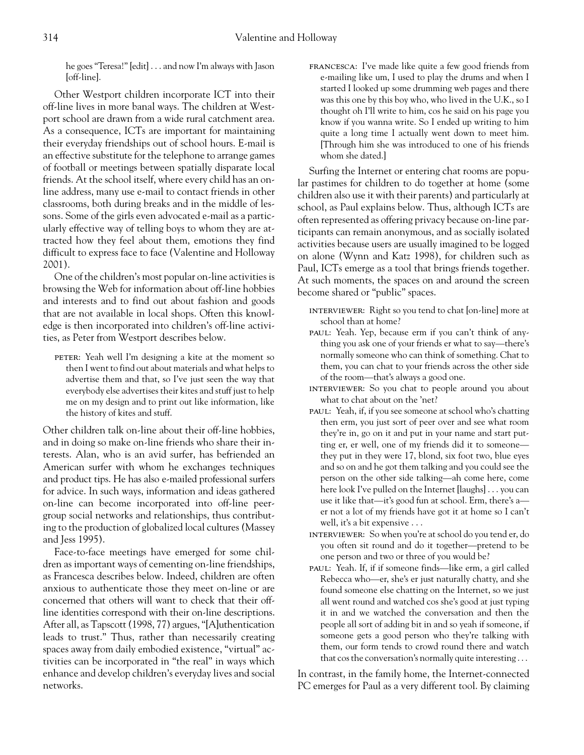he goes "Teresa!" [edit] . . . and now I'm always with Jason [off-line].

Other Westport children incorporate ICT into their off-line lives in more banal ways. The children at Westport school are drawn from a wide rural catchment area. As a consequence, ICTs are important for maintaining their everyday friendships out of school hours. E-mail is an effective substitute for the telephone to arrange games of football or meetings between spatially disparate local friends. At the school itself, where every child has an online address, many use e-mail to contact friends in other classrooms, both during breaks and in the middle of lessons. Some of the girls even advocated e-mail as a particularly effective way of telling boys to whom they are attracted how they feel about them, emotions they find difficult to express face to face (Valentine and Holloway 2001).

One of the children's most popular on-line activities is browsing the Web for information about off-line hobbies and interests and to find out about fashion and goods that are not available in local shops. Often this knowledge is then incorporated into children's off-line activities, as Peter from Westport describes below.

peter: Yeah well I'm designing a kite at the moment so then I went to find out about materials and what helps to advertise them and that, so I've just seen the way that everybody else advertises their kites and stuff just to help me on my design and to print out like information, like the history of kites and stuff.

Other children talk on-line about their off-line hobbies, and in doing so make on-line friends who share their interests. Alan, who is an avid surfer, has befriended an American surfer with whom he exchanges techniques and product tips. He has also e-mailed professional surfers for advice. In such ways, information and ideas gathered on-line can become incorporated into off-line peergroup social networks and relationships, thus contributing to the production of globalized local cultures (Massey and Jess 1995).

Face-to-face meetings have emerged for some children as important ways of cementing on-line friendships, as Francesca describes below. Indeed, children are often anxious to authenticate those they meet on-line or are concerned that others will want to check that their offline identities correspond with their on-line descriptions. After all, as Tapscott (1998, 77) argues, "[A]uthentication leads to trust." Thus, rather than necessarily creating spaces away from daily embodied existence, "virtual" activities can be incorporated in "the real" in ways which enhance and develop children's everyday lives and social networks.

francesca: I've made like quite a few good friends from e-mailing like um, I used to play the drums and when I started I looked up some drumming web pages and there was this one by this boy who, who lived in the U.K., so I thought oh I'll write to him, cos he said on his page you know if you wanna write. So I ended up writing to him quite a long time I actually went down to meet him. [Through him she was introduced to one of his friends whom she dated.]

Surfing the Internet or entering chat rooms are popular pastimes for children to do together at home (some children also use it with their parents) and particularly at school, as Paul explains below. Thus, although ICTs are often represented as offering privacy because on-line participants can remain anonymous, and as socially isolated activities because users are usually imagined to be logged on alone (Wynn and Katz 1998), for children such as Paul, ICTs emerge as a tool that brings friends together. At such moments, the spaces on and around the screen become shared or "public" spaces.

INTERVIEWER: Right so you tend to chat [on-line] more at school than at home?

- paul: Yeah. Yep, because erm if you can't think of anything you ask one of your friends er what to say—there's normally someone who can think of something. Chat to them, you can chat to your friends across the other side of the room—that's always a good one.
- INTERVIEWER: So you chat to people around you about what to chat about on the 'net?
- paul: Yeah, if, if you see someone at school who's chatting then erm, you just sort of peer over and see what room they're in, go on it and put in your name and start putting er, er well, one of my friends did it to someone they put in they were 17, blond, six foot two, blue eyes and so on and he got them talking and you could see the person on the other side talking—ah come here, come here look I've pulled on the Internet [laughs] . . . you can use it like that—it's good fun at school. Erm, there's a er not a lot of my friends have got it at home so I can't well, it's a bit expensive . . .
- interviewer: So when you're at school do you tend er, do you often sit round and do it together—pretend to be one person and two or three of you would be?
- paul: Yeah. If, if if someone finds—like erm, a girl called Rebecca who—er, she's er just naturally chatty, and she found someone else chatting on the Internet, so we just all went round and watched cos she's good at just typing it in and we watched the conversation and then the people all sort of adding bit in and so yeah if someone, if someone gets a good person who they're talking with them, our form tends to crowd round there and watch that cos the conversation's normally quite interesting . . .

In contrast, in the family home, the Internet-connected PC emerges for Paul as a very different tool. By claiming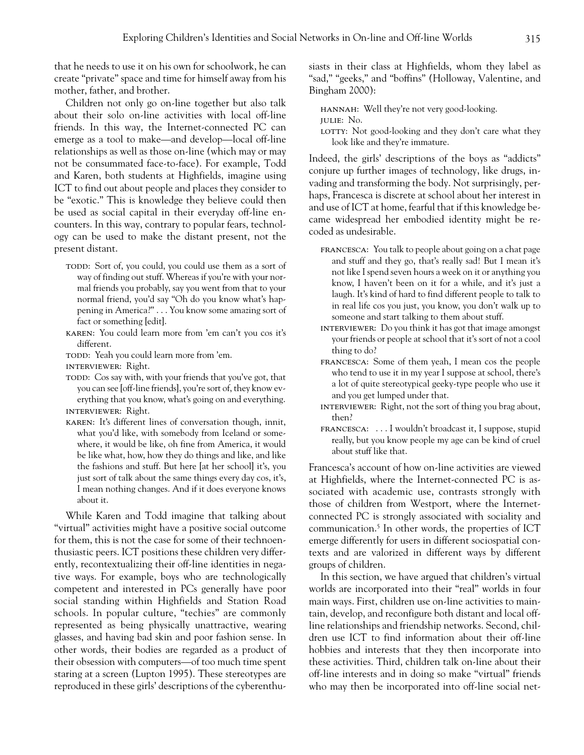that he needs to use it on his own for schoolwork, he can create "private" space and time for himself away from his mother, father, and brother.

Children not only go on-line together but also talk about their solo on-line activities with local off-line friends. In this way, the Internet-connected PC can emerge as a tool to make—and develop—local off-line relationships as well as those on-line (which may or may not be consummated face-to-face). For example, Todd and Karen, both students at Highfields, imagine using ICT to find out about people and places they consider to be "exotic." This is knowledge they believe could then be used as social capital in their everyday off-line encounters. In this way, contrary to popular fears, technology can be used to make the distant present, not the present distant.

- TODD: Sort of, you could, you could use them as a sort of way of finding out stuff. Whereas if you're with your normal friends you probably, say you went from that to your normal friend, you'd say "Oh do you know what's happening in America?" . . . You know some amazing sort of fact or something [edit].
- karen: You could learn more from 'em can't you cos it's different.
- TODD: Yeah you could learn more from 'em.
- interviewer: Right.
- TODD: Cos say with, with your friends that you've got, that you can see [off-line friends], you're sort of, they know everything that you know, what's going on and everything. interviewer: Right.
- karen: It's different lines of conversation though, innit, what you'd like, with somebody from Iceland or somewhere, it would be like, oh fine from America, it would be like what, how, how they do things and like, and like the fashions and stuff. But here [at her school] it's, you just sort of talk about the same things every day cos, it's, I mean nothing changes. And if it does everyone knows about it.

While Karen and Todd imagine that talking about "virtual" activities might have a positive social outcome for them, this is not the case for some of their technoenthusiastic peers. ICT positions these children very differently, recontextualizing their off-line identities in negative ways. For example, boys who are technologically competent and interested in PCs generally have poor social standing within Highfields and Station Road schools. In popular culture, "techies" are commonly represented as being physically unattractive, wearing glasses, and having bad skin and poor fashion sense. In other words, their bodies are regarded as a product of their obsession with computers—of too much time spent staring at a screen (Lupton 1995). These stereotypes are reproduced in these girls' descriptions of the cyberenthusiasts in their class at Highfields, whom they label as "sad," "geeks," and "boffins" (Holloway, Valentine, and Bingham 2000):

hannah: Well they're not very good-looking. julie: No.

LOTTY: Not good-looking and they don't care what they look like and they're immature.

Indeed, the girls' descriptions of the boys as "addicts" conjure up further images of technology, like drugs, invading and transforming the body. Not surprisingly, perhaps, Francesca is discrete at school about her interest in and use of ICT at home, fearful that if this knowledge became widespread her embodied identity might be recoded as undesirable.

- francesca: You talk to people about going on a chat page and stuff and they go, that's really sad! But I mean it's not like I spend seven hours a week on it or anything you know, I haven't been on it for a while, and it's just a laugh. It's kind of hard to find different people to talk to in real life cos you just, you know, you don't walk up to someone and start talking to them about stuff.
- interviewer: Do you think it has got that image amongst your friends or people at school that it's sort of not a cool thing to do?
- francesca: Some of them yeah, I mean cos the people who tend to use it in my year I suppose at school, there's a lot of quite stereotypical geeky-type people who use it and you get lumped under that.
- INTERVIEWER: Right, not the sort of thing you brag about, then?
- francesca: . . . I wouldn't broadcast it, I suppose, stupid really, but you know people my age can be kind of cruel about stuff like that.

Francesca's account of how on-line activities are viewed at Highfields, where the Internet-connected PC is associated with academic use, contrasts strongly with those of children from Westport, where the Internetconnected PC is strongly associated with sociality and communication.5 In other words, the properties of ICT emerge differently for users in different sociospatial contexts and are valorized in different ways by different groups of children.

In this section, we have argued that children's virtual worlds are incorporated into their "real" worlds in four main ways. First, children use on-line activities to maintain, develop, and reconfigure both distant and local offline relationships and friendship networks. Second, children use ICT to find information about their off-line hobbies and interests that they then incorporate into these activities. Third, children talk on-line about their off-line interests and in doing so make "virtual" friends who may then be incorporated into off-line social net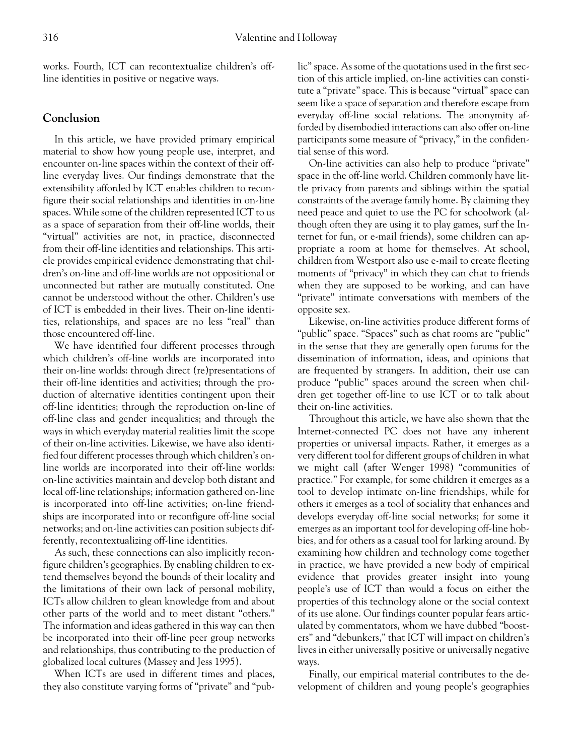works. Fourth, ICT can recontextualize children's offline identities in positive or negative ways.

#### **Conclusion**

In this article, we have provided primary empirical material to show how young people use, interpret, and encounter on-line spaces within the context of their offline everyday lives. Our findings demonstrate that the extensibility afforded by ICT enables children to reconfigure their social relationships and identities in on-line spaces. While some of the children represented ICT to us as a space of separation from their off-line worlds, their "virtual" activities are not, in practice, disconnected from their off-line identities and relationships. This article provides empirical evidence demonstrating that children's on-line and off-line worlds are not oppositional or unconnected but rather are mutually constituted. One cannot be understood without the other. Children's use of ICT is embedded in their lives. Their on-line identities, relationships, and spaces are no less "real" than those encountered off-line.

We have identified four different processes through which children's off-line worlds are incorporated into their on-line worlds: through direct (re)presentations of their off-line identities and activities; through the production of alternative identities contingent upon their off-line identities; through the reproduction on-line of off-line class and gender inequalities; and through the ways in which everyday material realities limit the scope of their on-line activities. Likewise, we have also identified four different processes through which children's online worlds are incorporated into their off-line worlds: on-line activities maintain and develop both distant and local off-line relationships; information gathered on-line is incorporated into off-line activities; on-line friendships are incorporated into or reconfigure off-line social networks; and on-line activities can position subjects differently, recontextualizing off-line identities.

As such, these connections can also implicitly reconfigure children's geographies. By enabling children to extend themselves beyond the bounds of their locality and the limitations of their own lack of personal mobility, ICTs allow children to glean knowledge from and about other parts of the world and to meet distant "others." The information and ideas gathered in this way can then be incorporated into their off-line peer group networks and relationships, thus contributing to the production of globalized local cultures (Massey and Jess 1995).

When ICTs are used in different times and places, they also constitute varying forms of "private" and "public" space. As some of the quotations used in the first section of this article implied, on-line activities can constitute a "private" space. This is because "virtual" space can seem like a space of separation and therefore escape from everyday off-line social relations. The anonymity afforded by disembodied interactions can also offer on-line participants some measure of "privacy," in the confidential sense of this word.

On-line activities can also help to produce "private" space in the off-line world. Children commonly have little privacy from parents and siblings within the spatial constraints of the average family home. By claiming they need peace and quiet to use the PC for schoolwork (although often they are using it to play games, surf the Internet for fun, or e-mail friends), some children can appropriate a room at home for themselves. At school, children from Westport also use e-mail to create fleeting moments of "privacy" in which they can chat to friends when they are supposed to be working, and can have "private" intimate conversations with members of the opposite sex.

Likewise, on-line activities produce different forms of "public" space. "Spaces" such as chat rooms are "public" in the sense that they are generally open forums for the dissemination of information, ideas, and opinions that are frequented by strangers. In addition, their use can produce "public" spaces around the screen when children get together off-line to use ICT or to talk about their on-line activities.

Throughout this article, we have also shown that the Internet-connected PC does not have any inherent properties or universal impacts. Rather, it emerges as a very different tool for different groups of children in what we might call (after Wenger 1998) "communities of practice." For example, for some children it emerges as a tool to develop intimate on-line friendships, while for others it emerges as a tool of sociality that enhances and develops everyday off-line social networks; for some it emerges as an important tool for developing off-line hobbies, and for others as a casual tool for larking around. By examining how children and technology come together in practice, we have provided a new body of empirical evidence that provides greater insight into young people's use of ICT than would a focus on either the properties of this technology alone or the social context of its use alone. Our findings counter popular fears articulated by commentators, whom we have dubbed "boosters" and "debunkers," that ICT will impact on children's lives in either universally positive or universally negative ways.

Finally, our empirical material contributes to the development of children and young people's geographies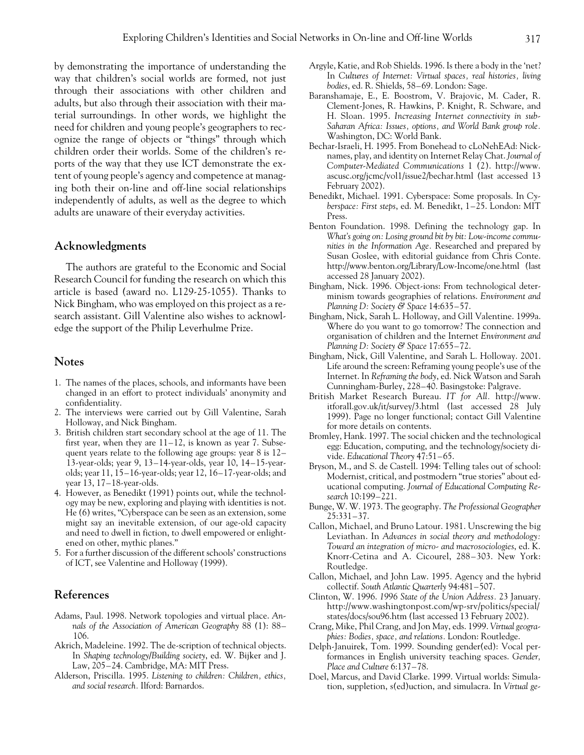by demonstrating the importance of understanding the way that children's social worlds are formed, not just through their associations with other children and adults, but also through their association with their material surroundings. In other words, we highlight the need for children and young people's geographers to recognize the range of objects or "things" through which children order their worlds. Some of the children's reports of the way that they use ICT demonstrate the extent of young people's agency and competence at managing both their on-line and off-line social relationships independently of adults, as well as the degree to which adults are unaware of their everyday activities.

#### **Acknowledgments**

The authors are grateful to the Economic and Social Research Council for funding the research on which this article is based (award no. L129-25-1055). Thanks to Nick Bingham, who was employed on this project as a research assistant. Gill Valentine also wishes to acknowledge the support of the Philip Leverhulme Prize.

#### **Notes**

- 1. The names of the places, schools, and informants have been changed in an effort to protect individuals' anonymity and confidentiality.
- 2. The interviews were carried out by Gill Valentine, Sarah Holloway, and Nick Bingham.
- 3. British children start secondary school at the age of 11. The first year, when they are 11–12, is known as year 7. Subsequent years relate to the following age groups: year 8 is 12– 13-year-olds; year 9, 13–14-year-olds, year 10, 14–15-yearolds; year 11, 15–16-year-olds; year 12, 16–17-year-olds; and year 13, 17–18-year-olds.
- 4. However, as Benedikt (1991) points out, while the technology may be new, exploring and playing with identities is not. He (6) writes, "Cyberspace can be seen as an extension, some might say an inevitable extension, of our age-old capacity and need to dwell in fiction, to dwell empowered or enlightened on other, mythic planes."
- 5. For a further discussion of the different schools' constructions of ICT, see Valentine and Holloway (1999).

# **References**

- Adams, Paul. 1998. Network topologies and virtual place. *Annals of the Association of American Geography* 88 (1): 88– 106.
- Akrich, Madeleine. 1992. The de-scription of technical objects. In *Shaping technology/Building society*, ed. W. Bijker and J. Law, 205–24. Cambridge, MA: MIT Press.
- Alderson, Priscilla. 1995. *Listening to children: Children, ethics, and social research.* Ilford: Barnardos.
- Argyle, Katie, and Rob Shields. 1996. Is there a body in the 'net? In *Cultures of Internet: Virtual spaces, real histories, living bodies*, ed. R. Shields, 58–69. London: Sage.
- Baranshamaje, E., E. Boostrom, V. Brajovic, M. Cader, R. Clement-Jones, R. Hawkins, P. Knight, R. Schware, and H. Sloan. 1995. *Increasing Internet connectivity in sub-Saharan Africa: Issues, options, and World Bank group role.* Washington, DC: World Bank.
- Bechar-Israeli, H. 1995. From Bonehead to cLoNehEAd: Nicknames, play, and identity on Internet Relay Chat. *Journal of Computer-Mediated Communications* 1 (2). http://www. ascusc.org/jcmc/vol1/issue2/bechar.html (last accessed 13 February 2002).
- Benedikt, Michael. 1991. Cyberspace: Some proposals. In *Cyberspace: First steps*, ed. M. Benedikt, 1–25. London: MIT Press.
- Benton Foundation. 1998. Defining the technology gap. In *What's going on: Losing ground bit by bit: Low-income communities in the Information Age.* Researched and prepared by Susan Goslee, with editorial guidance from Chris Conte. http://www.benton.org/Library/Low-Income/one.html (last accessed 28 January 2002).
- Bingham, Nick. 1996. Object-ions: From technological determinism towards geographies of relations. *Environment and Planning D: Society & Space* 14:635–57.
- Bingham, Nick, Sarah L. Holloway, and Gill Valentine. 1999a. Where do you want to go tomorrow? The connection and organisation of children and the Internet *Environment and Planning D: Society & Space* 17:655–72.
- Bingham, Nick, Gill Valentine, and Sarah L. Holloway. 2001. Life around the screen: Reframing young people's use of the Internet. In *Reframing the body*, ed. Nick Watson and Sarah Cunningham-Burley, 228–40. Basingstoke: Palgrave.
- British Market Research Bureau. *IT for All.* http://www. itforall.gov.uk/it/survey/3.html (last accessed 28 July 1999). Page no longer functional; contact Gill Valentine for more details on contents.
- Bromley, Hank. 1997. The social chicken and the technological egg: Education, computing, and the technology/society divide. *Educational Theory* 47:51–65.
- Bryson, M., and S. de Castell. 1994: Telling tales out of school: Modernist, critical, and postmodern "true stories" about educational computing. *Journal of Educational Computing Research* 10:199–221.
- Bunge, W. W. 1973. The geography. *The Professional Geographer* 25:331–37.
- Callon, Michael, and Bruno Latour. 1981. Unscrewing the big Leviathan. In *Advances in social theory and methodology: Toward an integration of micro- and macrosociologies*, ed. K. Knorr-Cetina and A. Cicourel, 288–303. New York: Routledge.
- Callon, Michael, and John Law. 1995. Agency and the hybrid collectif. *South Atlantic Quarterly* 94:481–507.
- Clinton, W. 1996. *1996 State of the Union Address.* 23 January. http://www.washingtonpost.com/wp-srv/politics/special/ states/docs/sou96.htm (last accessed 13 February 2002).
- Crang, Mike, Phil Crang, and Jon May, eds. 1999. *Virtual geographies: Bodies, space, and relations.* London: Routledge.
- Delph-Januirek, Tom. 1999. Sounding gender(ed): Vocal performances in English university teaching spaces. *Gender, Place and Culture* 6:137–78.
- Doel, Marcus, and David Clarke. 1999. Virtual worlds: Simulation, suppletion, s(ed)uction, and simulacra. In *Virtual ge-*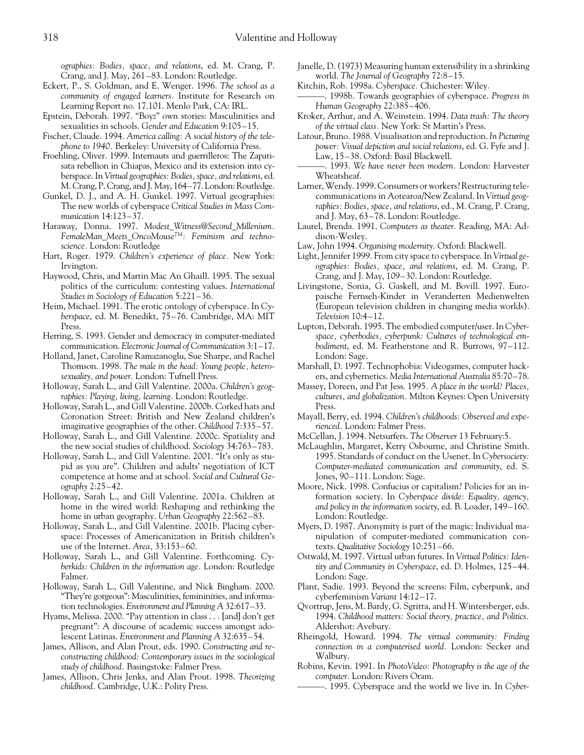*ographies: Bodies, space, and relations*, ed. M. Crang, P. Crang, and J. May, 261–83. London: Routledge.

- Eckert, P., S. Goldman, and E. Wenger. 1996. *The school as a community of engaged learners.* Institute for Research on Learning Report no. 17.101. Menlo Park, CA: IRL.
- Epstein, Deborah. 1997. "Boyz" own stories: Masculinities and sexualities in schools. *Gender and Education* 9:105–15.
- Fischer, Claude. 1994. *America calling: A social history of the telephone to 1940.* Berkeley: University of California Press.
- Froehling, Oliver. 1999. Internauts and guerrilleros: The Zapatisata rebellion in Chiapas, Mexico and its extension into cyberspace. In *Virtual geographies: Bodies, space, and relations*, ed. M. Crang, P. Crang, and J. May, 164–77. London: Routledge.
- Gunkel, D. J., and A. H. Gunkel. 1997. Virtual geographies: The new worlds of cyberspace *Critical Studies in Mass Communication* 14:123–37.
- Haraway, Donna. 1997. *Modest\_Witness@Second\_Millenium. FemaleMan\_Meets\_OncoMouseTM: Feminism and technoscience.* London: Routledge
- Hart, Roger. 1979. *Children's experience of place.* New York: Irvington.
- Haywood, Chris, and Martin Mac An Ghaill. 1995. The sexual politics of the curriculum: contesting values. *International Studies in Sociology of Education* 5:221–36.
- Heim, Michael. 1991. The erotic ontology of cyberspace. In *Cyberspace*, ed. M. Benedikt, 75–76. Cambridge, MA: MIT Press.
- Herring, S. 1993. Gender and democracy in computer-mediated communication. *Electronic Journal of Communication* 3:1–17.
- Holland, Janet, Caroline Ramazanoglu, Sue Sharpe, and Rachel Thomson. 1998. *The male in the head: Young people, heterosexuality, and power.* London: Tufnell Press.
- Holloway, Sarah L., and Gill Valentine. 2000a. *Children's geographies: Playing, living, learning.* London: Routledge.
- Holloway, Sarah L., and Gill Valentine. 2000b. Corked hats and Coronation Street: British and New Zealand children's imaginative geographies of the other. *Childhood* 7:335–57.
- Holloway, Sarah L., and Gill Valentine. 2000c. Spatiality and the new social studies of childhood. *Sociology* 34:763–783.
- Holloway, Sarah L., and Gill Valentine. 2001. "It's only as stupid as you are". Children and adults' negotiation of ICT competence at home and at school. *Social and Cultural Geography* 2:25–42.
- Holloway, Sarah L., and Gill Valentine. 2001a. Children at home in the wired world: Reshaping and rethinking the home in urban geography. *Urban Geography* 22:562–83.
- Holloway, Sarah L., and Gill Valentine. 2001b. Placing cyberspace: Processes of Americanization in British children's use of the Internet. *Area,* 33:153–60.
- Holloway, Sarah L., and Gill Valentine. Forthcoming. *Cyberkids: Children in the information age.* London: Routledge Falmer.
- Holloway, Sarah L., Gill Valentine, and Nick Bingham. 2000. "They're gorgeous": Masculinities, femininities, and information technologies. *Environment and Planning A* 32:617–33.
- Hyams, Melissa. 2000. "Pay attention in class . . . [and] don't get pregnant": A discourse of academic success amongst adolescent Latinas. *Environment and Planning A* 32:635–54.
- James, Allison, and Alan Prout, eds. 1990. *Constructing and reconstructing childhood: Contemporary issues in the sociological study of childhood.* Basingstoke: Falmer Press.
- James, Allison, Chris Jenks, and Alan Prout. 1998. *Theorizing childhood.* Cambridge, U.K.: Polity Press.
- Janelle, D. (1973) Measuring human extensibility in a shrinking world. *The Journal of Geography* 72:8–15.
- Kitchin, Rob. 1998a. *Cyberspace.* Chichester: Wiley.
- ———. 1998b. Towards geographies of cyberspace. *Progress in Human Geography* 22:385–406.
- Kroker, Arthur, and A. Weinstein. 1994. *Data trash: The theory of the virtual class.* New York: St Martin's Press.
- Latour, Bruno. 1988. Visualisation and reproduction. *In Picturing power: Visual depiction and social relations*, ed. G. Fyfe and J. Law, 15–38. Oxford: Basil Blackwell.
- ———. 1993. *We have never been modern.* London: Harvester Wheatsheaf.
- Larner, Wendy. 1999. Consumers or workers? Restructuring telecommunications in Aotearoa/New Zealand. In *Virtual geographies: Bodies, space, and relations*, ed., M. Crang, P. Crang, and J. May, 63–78. London: Routledge.
- Laurel, Brenda. 1991. *Computers as theater.* Reading, MA: Addison-Wesley.
- Law, John 1994. *Organising modernity.* Oxford: Blackwell.
- Light, Jennifer 1999. From city space to cyberspace. In *Virtual geographies: Bodies, space, and relations*, ed. M. Crang, P. Crang, and J. May, 109–30. London: Routledge.
- Livingstone, Sonia, G. Gaskell, and M. Bovill. 1997. Europaische Fernseh-Kinder in Veranderten Medienwelten (European television children in changing media worlds). *Television* 10:4–12.
- Lupton, Deborah. 1995. The embodied computer/user. In *Cyberspace, cyberbodies, cyberpunk: Cultures of technological embodiment*, ed. M. Featherstone and R. Burrows, 97–112. London: Sage.
- Marshall, D. 1997. Technophobia: Videogames, computer hackers, and cybernetics. *Media International Australia* 85:70–78.
- Massey, Doreen, and Pat Jess. 1995*. A place in the world? Places, cultures, and globalization.* Milton Keynes: Open University Press.
- Mayall, Berry, ed. 1994. *Children's childhoods: Observed and experienced.* London: Falmer Press.
- McCellan, J. 1994. Netsurfers. *The Observer* 13 February:5.
- McLaughlin, Margaret, Kerry Osbourne, and Christine Smith. 1995. Standards of conduct on the Usenet. In *Cybersociety: Computer-mediated communication and community*, ed. S. Jones, 90–111. London: Sage.
- Moore, Nick. 1998. Confucius or capitalism? Policies for an information society. In *Cyberspace divide: Equality, agency, and policy in the information society*, ed. B. Loader, 149–160. London: Routledge.
- Myers, D. 1987. Anonymity is part of the magic: Individual manipulation of computer-mediated communication contexts. *Qualitative Sociology* 10:251–66.
- Ostwald, M. 1997. Virtual urban futures. In *Virtual Politics: Identity and Community in Cyberspace*, ed. D. Holmes, 125–44. London: Sage.
- Plant, Sadie. 1993. Beyond the screens: Film, cyberpunk, and cyberfeminism *Variant* 14:12–17.
- Qvortrup, Jens, M. Bardy, G. Sgritta, and H. Wintersberger, eds. 1994. *Childhood matters: Social theory, practice, and Politics.* Aldershot: Avebury.
- Rheingold, Howard. 1994. *The virtual community: Finding connection in a computerised world.* London: Secker and Walbury.
- Robins, Kevin. 1991. In *PhotoVideo: Photography is the age of the computer.* London: Rivers Oram.
	- ———. 1995. Cyberspace and the world we live in. In *Cyber-*